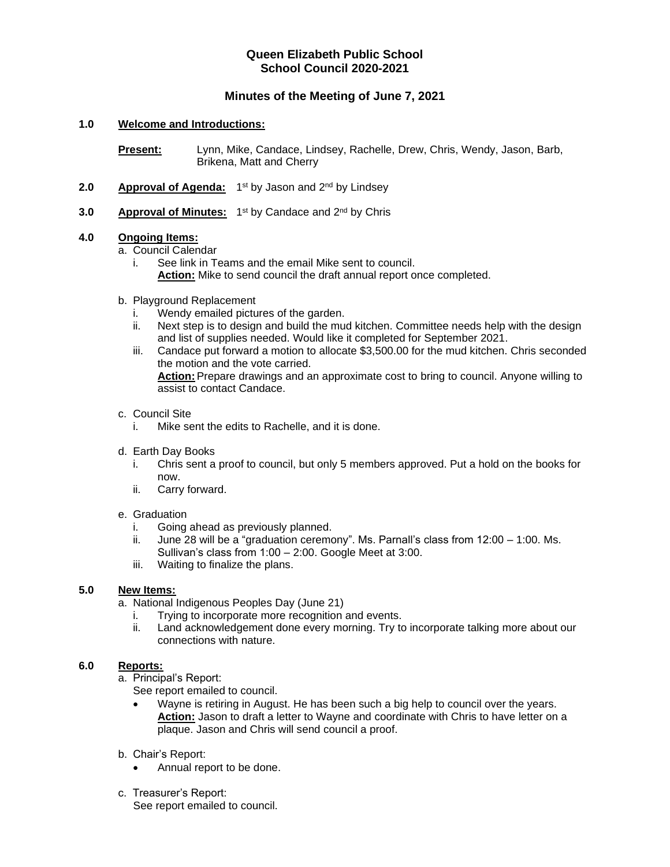# **Queen Elizabeth Public School School Council 2020-2021**

# **Minutes of the Meeting of June 7, 2021**

## **1.0 Welcome and Introductions:**

**Present:** Lynn, Mike, Candace, Lindsey, Rachelle, Drew, Chris, Wendy, Jason, Barb, Brikena, Matt and Cherry

- 2.0 **Approval of Agenda:** 1<sup>st</sup> by Jason and 2<sup>nd</sup> by Lindsey
- 3.0 **Approval of Minutes:** 1<sup>st</sup> by Candace and 2<sup>nd</sup> by Chris

## **4.0 Ongoing Items:**

a. Council Calendar

i. See link in Teams and the email Mike sent to council. **Action:** Mike to send council the draft annual report once completed.

- b. Playground Replacement
	- i. Wendy emailed pictures of the garden.
	- ii. Next step is to design and build the mud kitchen. Committee needs help with the design and list of supplies needed. Would like it completed for September 2021.
	- iii. Candace put forward a motion to allocate \$3,500.00 for the mud kitchen. Chris seconded the motion and the vote carried. **Action:**Prepare drawings and an approximate cost to bring to council. Anyone willing to assist to contact Candace.
- c. Council Site
	- i. Mike sent the edits to Rachelle, and it is done.
- d. Earth Day Books
	- i. Chris sent a proof to council, but only 5 members approved. Put a hold on the books for now.
	- ii. Carry forward.

### e. Graduation

- i. Going ahead as previously planned.
- ii. June 28 will be a "graduation ceremony". Ms. Parnall's class from 12:00 1:00. Ms. Sullivan's class from 1:00 – 2:00. Google Meet at 3:00.
- iii. Waiting to finalize the plans.

### **5.0 New Items:**

- a. National Indigenous Peoples Day (June 21)
	- i. Trying to incorporate more recognition and events.
	- ii. Land acknowledgement done every morning. Try to incorporate talking more about our connections with nature.

## **6.0 Reports:**

a. Principal's Report:

See report emailed to council.

- Wayne is retiring in August. He has been such a big help to council over the years. **Action:** Jason to draft a letter to Wayne and coordinate with Chris to have letter on a plaque. Jason and Chris will send council a proof.
- b. Chair's Report:
	- Annual report to be done.
- c. Treasurer's Report:
	- See report emailed to council.